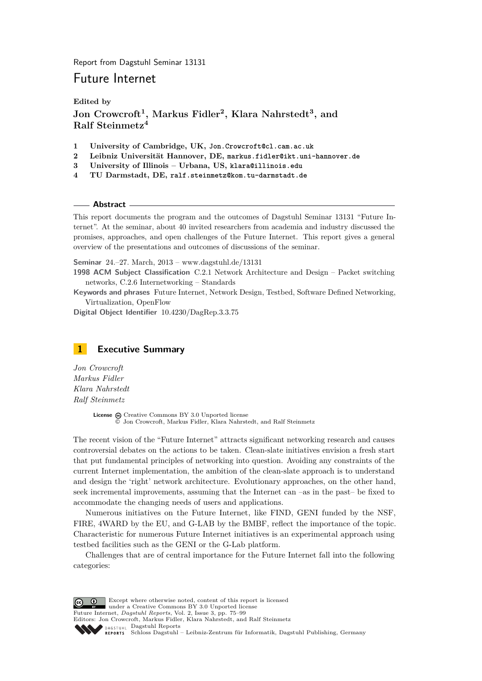Report from Dagstuhl Seminar 13131

# Future Internet

**Edited by**

**Jon Crowcroft<sup>1</sup> , Markus Fidler<sup>2</sup> , Klara Nahrstedt<sup>3</sup> , and Ralf Steinmetz<sup>4</sup>**

- **1 University of Cambridge, UK, Jon.Crowcroft@cl.cam.ac.uk**
- **2 Leibniz Universität Hannover, DE, markus.fidler@ikt.uni-hannover.de**
- **3 University of Illinois Urbana, US, klara@illinois.edu**
- **4 TU Darmstadt, DE, ralf.steinmetz@kom.tu-darmstadt.de**

**Abstract**

This report documents the program and the outcomes of Dagstuhl Seminar 13131 "Future Internet". At the seminar, about 40 invited researchers from academia and industry discussed the promises, approaches, and open challenges of the Future Internet. This report gives a general overview of the presentations and outcomes of discussions of the seminar.

**Seminar** 24.–27. March, 2013 – [www.dagstuhl.de/13131](http://www.dagstuhl.de/13131)

**1998 ACM Subject Classification** C.2.1 Network Architecture and Design – Packet switching networks, C.2.6 Internetworking – Standards

**Keywords and phrases** Future Internet, Network Design, Testbed, Software Defined Networking, Virtualization, OpenFlow

**Digital Object Identifier** [10.4230/DagRep.3.3.75](http://dx.doi.org/10.4230/DagRep.3.3.75)

<span id="page-0-0"></span>

*Jon Crowcroft Markus Fidler Klara Nahrstedt Ralf Steinmetz*

> License  $\textcircled{c}$  [Creative Commons BY 3.0 Unported](http://creativecommons.org/licenses/by/3.0/) license © [Jon Crowcroft, Markus Fidler, Klara Nahrstedt, and Ralf Steinmetz](#page-0-0)

The recent vision of the "Future Internet" attracts significant networking research and causes controversial debates on the actions to be taken. Clean-slate initiatives envision a fresh start that put fundamental principles of networking into question. Avoiding any constraints of the current Internet implementation, the ambition of the clean-slate approach is to understand and design the 'right' network architecture. Evolutionary approaches, on the other hand, seek incremental improvements, assuming that the Internet can –as in the past– be fixed to accommodate the changing needs of users and applications.

Numerous initiatives on the Future Internet, like FIND, GENI funded by the NSF, FIRE, 4WARD by the EU, and G-LAB by the BMBF, reflect the importance of the topic. Characteristic for numerous Future Internet initiatives is an experimental approach using testbed facilities such as the GENI or the G-Lab platform.

Challenges that are of central importance for the Future Internet fall into the following categories:

**C Except** where otherwise noted, content of this report is licensed under a [Creative Commons BY 3.0 Unported](http://creativecommons.org/licenses/by/3.0/) license Future Internet, *Dagstuhl Reports*, Vol. 2, Issue 3, pp. 75[–99](#page-24-0) Editors: Jon Crowcroft, Markus Fidler, Klara Nahrstedt, and Ralf Steinmetz DAGSTUHL [Dagstuhl Reports](http://www.dagstuhl.de/dagstuhl-reports/) REPORTS Schloss Dagstuhl - Leibniz-Zentrum für Informatik, Dagstuhl Publishing, Germany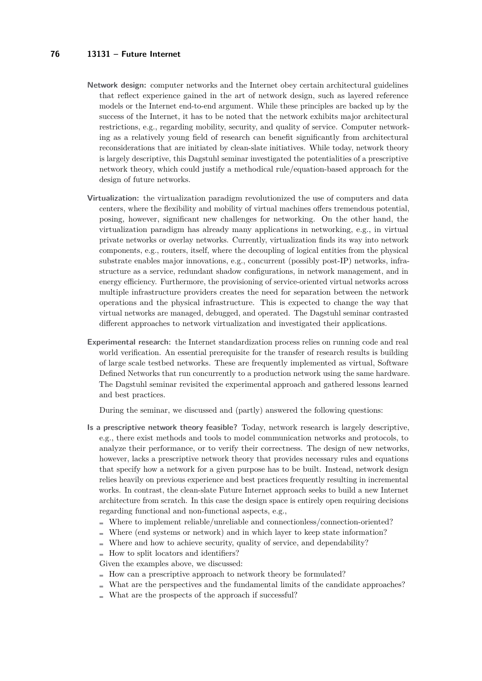- **Network design:** computer networks and the Internet obey certain architectural guidelines that reflect experience gained in the art of network design, such as layered reference models or the Internet end-to-end argument. While these principles are backed up by the success of the Internet, it has to be noted that the network exhibits major architectural restrictions, e.g., regarding mobility, security, and quality of service. Computer networking as a relatively young field of research can benefit significantly from architectural reconsiderations that are initiated by clean-slate initiatives. While today, network theory is largely descriptive, this Dagstuhl seminar investigated the potentialities of a prescriptive network theory, which could justify a methodical rule/equation-based approach for the design of future networks.
- **Virtualization:** the virtualization paradigm revolutionized the use of computers and data centers, where the flexibility and mobility of virtual machines offers tremendous potential, posing, however, significant new challenges for networking. On the other hand, the virtualization paradigm has already many applications in networking, e.g., in virtual private networks or overlay networks. Currently, virtualization finds its way into network components, e.g., routers, itself, where the decoupling of logical entities from the physical substrate enables major innovations, e.g., concurrent (possibly post-IP) networks, infrastructure as a service, redundant shadow configurations, in network management, and in energy efficiency. Furthermore, the provisioning of service-oriented virtual networks across multiple infrastructure providers creates the need for separation between the network operations and the physical infrastructure. This is expected to change the way that virtual networks are managed, debugged, and operated. The Dagstuhl seminar contrasted different approaches to network virtualization and investigated their applications.
- **Experimental research:** the Internet standardization process relies on running code and real world verification. An essential prerequisite for the transfer of research results is building of large scale testbed networks. These are frequently implemented as virtual, Software Defined Networks that run concurrently to a production network using the same hardware. The Dagstuhl seminar revisited the experimental approach and gathered lessons learned and best practices.

During the seminar, we discussed and (partly) answered the following questions:

- **Is a prescriptive network theory feasible?** Today, network research is largely descriptive, e.g., there exist methods and tools to model communication networks and protocols, to analyze their performance, or to verify their correctness. The design of new networks, however, lacks a prescriptive network theory that provides necessary rules and equations that specify how a network for a given purpose has to be built. Instead, network design relies heavily on previous experience and best practices frequently resulting in incremental works. In contrast, the clean-slate Future Internet approach seeks to build a new Internet architecture from scratch. In this case the design space is entirely open requiring decisions regarding functional and non-functional aspects, e.g.,
	- Where to implement reliable/unreliable and connectionless/connection-oriented?
	- Where (end systems or network) and in which layer to keep state information?
	- $\blacksquare$  Where and how to achieve security, quality of service, and dependability?
	- $\blacksquare$  How to split locators and identifiers?
	- Given the examples above, we discussed:
	- $\blacksquare$  How can a prescriptive approach to network theory be formulated?
	- What are the perspectives and the fundamental limits of the candidate approaches?
	- What are the prospects of the approach if successful?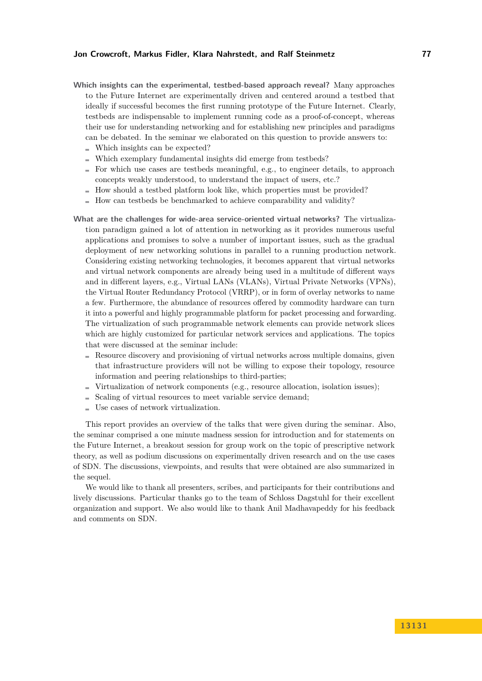- **Which insights can the experimental, testbed-based approach reveal?** Many approaches to the Future Internet are experimentally driven and centered around a testbed that ideally if successful becomes the first running prototype of the Future Internet. Clearly, testbeds are indispensable to implement running code as a proof-of-concept, whereas their use for understanding networking and for establishing new principles and paradigms can be debated. In the seminar we elaborated on this question to provide answers to:
	- Which insights can be expected?
	- Which exemplary fundamental insights did emerge from testbeds?
	- For which use cases are testbeds meaningful, e.g., to engineer details, to approach concepts weakly understood, to understand the impact of users, etc.?
	- $\blacksquare$  How should a testbed platform look like, which properties must be provided?
	- $\blacksquare$  How can testbeds be benchmarked to achieve comparability and validity?
- **What are the challenges for wide-area service-oriented virtual networks?** The virtualization paradigm gained a lot of attention in networking as it provides numerous useful applications and promises to solve a number of important issues, such as the gradual deployment of new networking solutions in parallel to a running production network. Considering existing networking technologies, it becomes apparent that virtual networks and virtual network components are already being used in a multitude of different ways and in different layers, e.g., Virtual LANs (VLANs), Virtual Private Networks (VPNs), the Virtual Router Redundancy Protocol (VRRP), or in form of overlay networks to name a few. Furthermore, the abundance of resources offered by commodity hardware can turn it into a powerful and highly programmable platform for packet processing and forwarding. The virtualization of such programmable network elements can provide network slices which are highly customized for particular network services and applications. The topics that were discussed at the seminar include:
	- Resource discovery and provisioning of virtual networks across multiple domains, given that infrastructure providers will not be willing to expose their topology, resource information and peering relationships to third-parties;
	- Virtualization of network components (e.g., resource allocation, isolation issues);
	- Scaling of virtual resources to meet variable service demand;  $\mathbb{R}^2$
	- Use cases of network virtualization.

This report provides an overview of the talks that were given during the seminar. Also, the seminar comprised a one minute madness session for introduction and for statements on the Future Internet, a breakout session for group work on the topic of prescriptive network theory, as well as podium discussions on experimentally driven research and on the use cases of SDN. The discussions, viewpoints, and results that were obtained are also summarized in the sequel.

We would like to thank all presenters, scribes, and participants for their contributions and lively discussions. Particular thanks go to the team of Schloss Dagstuhl for their excellent organization and support. We also would like to thank Anil Madhavapeddy for his feedback and comments on SDN.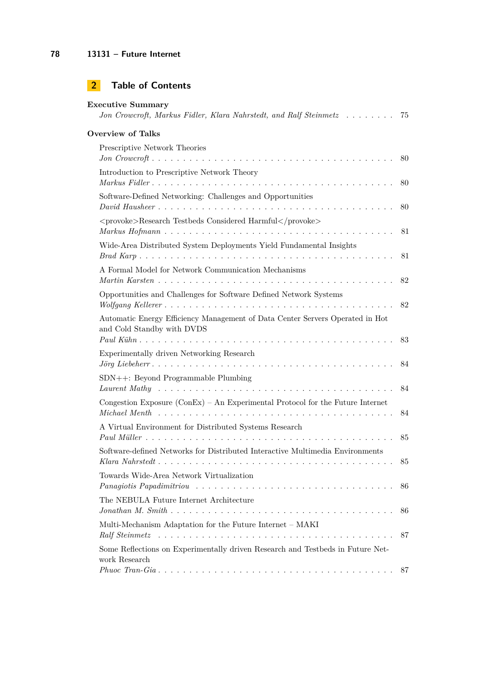# **2 Table of Contents**

| <b>Executive Summary</b><br>Jon Crowcroft, Markus Fidler, Klara Nahrstedt, and Ralf Steinmetz 75                                                                                 |      |  |  |
|----------------------------------------------------------------------------------------------------------------------------------------------------------------------------------|------|--|--|
| <b>Overview of Talks</b>                                                                                                                                                         |      |  |  |
| Prescriptive Network Theories                                                                                                                                                    |      |  |  |
| Introduction to Prescriptive Network Theory                                                                                                                                      |      |  |  |
| Software-Defined Networking: Challenges and Opportunities                                                                                                                        |      |  |  |
| <provoke>Research Testbeds Considered Harmful</provoke>                                                                                                                          | 81   |  |  |
| Wide-Area Distributed System Deployments Yield Fundamental Insights                                                                                                              | 81   |  |  |
| A Formal Model for Network Communication Mechanisms                                                                                                                              | 82   |  |  |
| Opportunities and Challenges for Software Defined Network Systems                                                                                                                | 82   |  |  |
| Automatic Energy Efficiency Management of Data Center Servers Operated in Hot<br>and Cold Standby with DVDS                                                                      | 83   |  |  |
| Experimentally driven Networking Research                                                                                                                                        | 84   |  |  |
| SDN++: Beyond Programmable Plumbing                                                                                                                                              | 84   |  |  |
| Congestion Exposure $(ConEx) - An Experimental Protocol for the Future Internet$<br>Michael Menth $\ldots \ldots \ldots \ldots \ldots \ldots \ldots \ldots \ldots \ldots \ldots$ | 84   |  |  |
| A Virtual Environment for Distributed Systems Research                                                                                                                           | 85   |  |  |
| Software-defined Networks for Distributed Interactive Multimedia Environments                                                                                                    | - 85 |  |  |
| Towards Wide-Area Network Virtualization                                                                                                                                         |      |  |  |
| The NEBULA Future Internet Architecture                                                                                                                                          |      |  |  |
| Multi-Mechanism Adaptation for the Future Internet - MAKI                                                                                                                        | 87   |  |  |
| Some Reflections on Experimentally driven Research and Testbeds in Future Net-<br>work Research                                                                                  |      |  |  |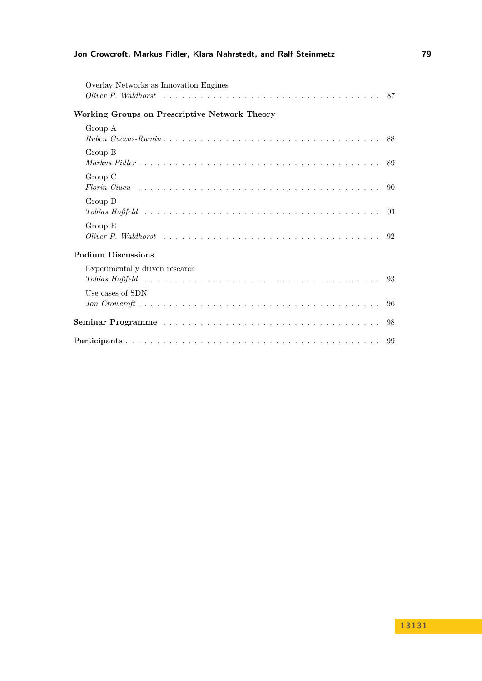| Overlay Networks as Innovation Engines        |  |
|-----------------------------------------------|--|
| Working Groups on Prescriptive Network Theory |  |
| Group A                                       |  |
| Group B                                       |  |
| Group C                                       |  |
| Group D                                       |  |
| Group E                                       |  |
| Podium Discussions                            |  |
| Experimentally driven research                |  |
| Use cases of SDN                              |  |
|                                               |  |
|                                               |  |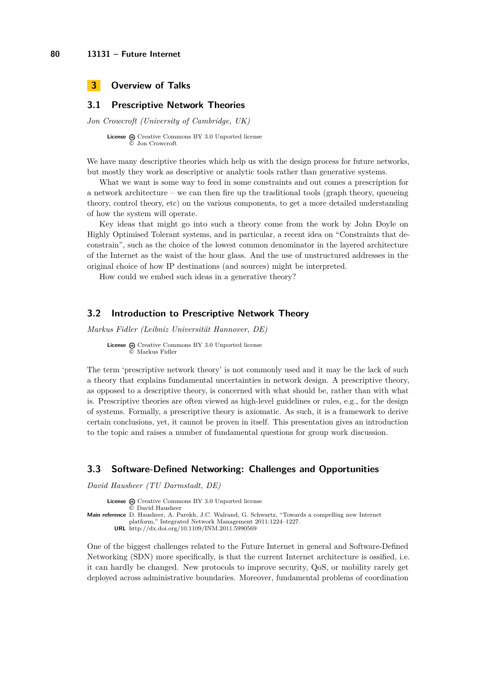<span id="page-5-0"></span>

# <span id="page-5-1"></span>**3.1 Prescriptive Network Theories**

*Jon Crowcroft (University of Cambridge, UK)*

License  $\textcircled{c}$  [Creative Commons BY 3.0 Unported](http://creativecommons.org/licenses/by/3.0/) license © [Jon Crowcroft](#page-5-1)

We have many descriptive theories which help us with the design process for future networks, but mostly they work as descriptive or analytic tools rather than generative systems.

What we want is some way to feed in some constraints and out comes a prescription for a network architecture – we can then fire up the traditional tools (graph theory, queueing theory, control theory, etc) on the various components, to get a more detailed understanding of how the system will operate.

Key ideas that might go into such a theory come from the work by John Doyle on Highly Optimised Tolerant systems, and in particular, a recent idea on "Constraints that deconstrain", such as the choice of the lowest common denominator in the layered architecture of the Internet as the waist of the hour glass. And the use of unstructured addresses in the original choice of how IP destinations (and sources) might be interpreted.

How could we embed such ideas in a generative theory?

## <span id="page-5-2"></span>**3.2 Introduction to Prescriptive Network Theory**

*Markus Fidler (Leibniz Universität Hannover, DE)*

License  $\textcircled{c}$  [Creative Commons BY 3.0 Unported](http://creativecommons.org/licenses/by/3.0/) license © [Markus Fidler](#page-5-2)

The term 'prescriptive network theory' is not commonly used and it may be the lack of such a theory that explains fundamental uncertainties in network design. A prescriptive theory, as opposed to a descriptive theory, is concerned with what should be, rather than with what is. Prescriptive theories are often viewed as high-level guidelines or rules, e.g., for the design of systems. Formally, a prescriptive theory is axiomatic. As such, it is a framework to derive certain conclusions, yet, it cannot be proven in itself. This presentation gives an introduction to the topic and raises a number of fundamental questions for group work discussion.

### <span id="page-5-3"></span>**3.3 Software-Defined Networking: Challenges and Opportunities**

*David Hausheer (TU Darmstadt, DE)*

License  $\bigcirc$  [Creative Commons BY 3.0 Unported](http://creativecommons.org/licenses/by/3.0/) license © [David Hausheer](#page-5-3) **Main reference** [D. Hausheer, A. Parekh, J.C. Walrand, G. Schwartz, "Towards a compelling new Internet](http://dx.doi.org/10.1109/INM.2011.5990569) [platform," Integrated Network Management 2011:1224–1227.](http://dx.doi.org/10.1109/INM.2011.5990569) **URL** <http://dx.doi.org/10.1109/INM.2011.5990569>

One of the biggest challenges related to the Future Internet in general and Software-Defined Networking (SDN) more specifically, is that the current Internet architecture is ossified, i.e. it can hardly be changed. New protocols to improve security, QoS, or mobility rarely get deployed across administrative boundaries. Moreover, fundamental problems of coordination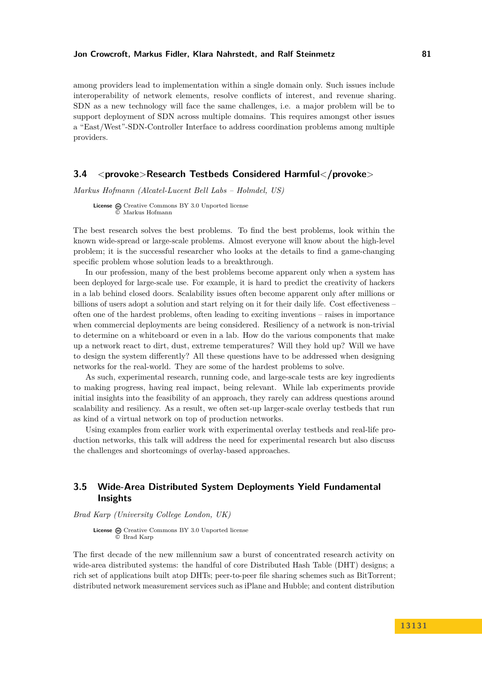among providers lead to implementation within a single domain only. Such issues include interoperability of network elements, resolve conflicts of interest, and revenue sharing. SDN as a new technology will face the same challenges, i.e. a major problem will be to support deployment of SDN across multiple domains. This requires amongst other issues a "East/West"-SDN-Controller Interface to address coordination problems among multiple providers.

## <span id="page-6-0"></span>**3.4** *<***provoke***>***Research Testbeds Considered Harmful***<***/provoke***>*

*Markus Hofmann (Alcatel-Lucent Bell Labs – Holmdel, US)*

License  $\bigcirc$  [Creative Commons BY 3.0 Unported](http://creativecommons.org/licenses/by/3.0/) license © [Markus Hofmann](#page-6-0)

The best research solves the best problems. To find the best problems, look within the known wide-spread or large-scale problems. Almost everyone will know about the high-level problem; it is the successful researcher who looks at the details to find a game-changing specific problem whose solution leads to a breakthrough.

In our profession, many of the best problems become apparent only when a system has been deployed for large-scale use. For example, it is hard to predict the creativity of hackers in a lab behind closed doors. Scalability issues often become apparent only after millions or billions of users adopt a solution and start relying on it for their daily life. Cost effectiveness – often one of the hardest problems, often leading to exciting inventions – raises in importance when commercial deployments are being considered. Resiliency of a network is non-trivial to determine on a whiteboard or even in a lab. How do the various components that make up a network react to dirt, dust, extreme temperatures? Will they hold up? Will we have to design the system differently? All these questions have to be addressed when designing networks for the real-world. They are some of the hardest problems to solve.

As such, experimental research, running code, and large-scale tests are key ingredients to making progress, having real impact, being relevant. While lab experiments provide initial insights into the feasibility of an approach, they rarely can address questions around scalability and resiliency. As a result, we often set-up larger-scale overlay testbeds that run as kind of a virtual network on top of production networks.

Using examples from earlier work with experimental overlay testbeds and real-life production networks, this talk will address the need for experimental research but also discuss the challenges and shortcomings of overlay-based approaches.

# <span id="page-6-1"></span>**3.5 Wide-Area Distributed System Deployments Yield Fundamental Insights**

*Brad Karp (University College London, UK)*

**License**  $\textcircled{e}$  [Creative Commons BY 3.0 Unported](http://creativecommons.org/licenses/by/3.0/) license © [Brad Karp](#page-6-1)

The first decade of the new millennium saw a burst of concentrated research activity on wide-area distributed systems: the handful of core Distributed Hash Table (DHT) designs; a rich set of applications built atop DHTs; peer-to-peer file sharing schemes such as BitTorrent; distributed network measurement services such as iPlane and Hubble; and content distribution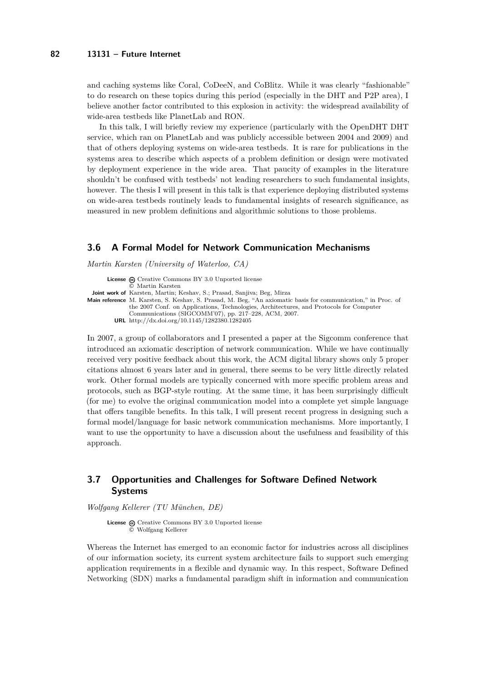and caching systems like Coral, CoDeeN, and CoBlitz. While it was clearly "fashionable" to do research on these topics during this period (especially in the DHT and P2P area), I believe another factor contributed to this explosion in activity: the widespread availability of wide-area testbeds like PlanetLab and RON.

In this talk, I will briefly review my experience (particularly with the OpenDHT DHT service, which ran on PlanetLab and was publicly accessible between 2004 and 2009) and that of others deploying systems on wide-area testbeds. It is rare for publications in the systems area to describe which aspects of a problem definition or design were motivated by deployment experience in the wide area. That paucity of examples in the literature shouldn't be confused with testbeds' not leading researchers to such fundamental insights, however. The thesis I will present in this talk is that experience deploying distributed systems on wide-area testbeds routinely leads to fundamental insights of research significance, as measured in new problem definitions and algorithmic solutions to those problems.

## <span id="page-7-0"></span>**3.6 A Formal Model for Network Communication Mechanisms**

*Martin Karsten (University of Waterloo, CA)*

License  $\textcircled{c}$  [Creative Commons BY 3.0 Unported](http://creativecommons.org/licenses/by/3.0/) license © [Martin Karsten](#page-7-0) **Joint work of** Karsten, Martin; Keshav, S.; Prasad, Sanjiva; Beg, Mirza **Main reference** [M. Karsten, S. Keshav, S. Prasad, M. Beg, "An axiomatic basis for communication," in Proc. of](http://dx.doi.org/10.1145/1282380.1282405) [the 2007 Conf. on Applications, Technologies, Architectures, and Protocols for Computer](http://dx.doi.org/10.1145/1282380.1282405) [Communications \(SIGCOMM'07\), pp. 217–228, ACM, 2007.](http://dx.doi.org/10.1145/1282380.1282405) **URL** <http://dx.doi.org/10.1145/1282380.1282405>

In 2007, a group of collaborators and I presented a paper at the Sigcomm conference that introduced an axiomatic description of network communication. While we have continually received very positive feedback about this work, the ACM digital library shows only 5 proper citations almost 6 years later and in general, there seems to be very little directly related work. Other formal models are typically concerned with more specific problem areas and protocols, such as BGP-style routing. At the same time, it has been surprisingly difficult (for me) to evolve the original communication model into a complete yet simple language that offers tangible benefits. In this talk, I will present recent progress in designing such a formal model/language for basic network communication mechanisms. More importantly, I want to use the opportunity to have a discussion about the usefulness and feasibility of this approach.

# <span id="page-7-1"></span>**3.7 Opportunities and Challenges for Software Defined Network Systems**

*Wolfgang Kellerer (TU München, DE)*

**License** @ [Creative Commons BY 3.0 Unported](http://creativecommons.org/licenses/by/3.0/) license © [Wolfgang Kellerer](#page-7-1)

Whereas the Internet has emerged to an economic factor for industries across all disciplines of our information society, its current system architecture fails to support such emerging application requirements in a flexible and dynamic way. In this respect, Software Defined Networking (SDN) marks a fundamental paradigm shift in information and communication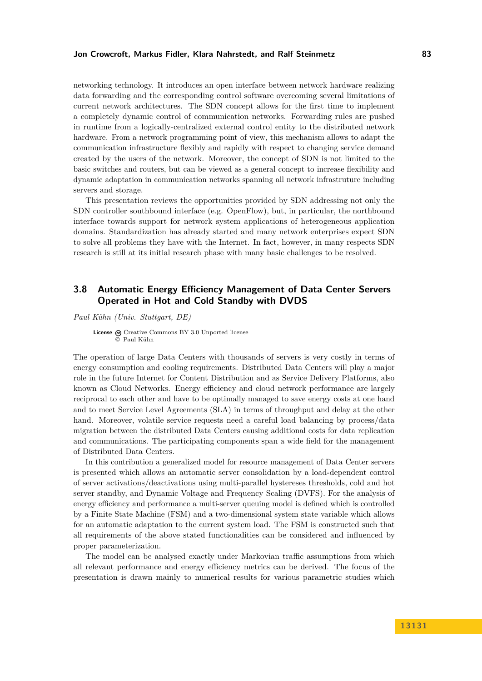networking technology. It introduces an open interface between network hardware realizing data forwarding and the corresponding control software overcoming several limitations of current network architectures. The SDN concept allows for the first time to implement a completely dynamic control of communication networks. Forwarding rules are pushed in runtime from a logically-centralized external control entity to the distributed network hardware. From a network programming point of view, this mechanism allows to adapt the communication infrastructure flexibly and rapidly with respect to changing service demand created by the users of the network. Moreover, the concept of SDN is not limited to the basic switches and routers, but can be viewed as a general concept to increase flexibility and dynamic adaptation in communication networks spanning all network infrastruture including servers and storage.

This presentation reviews the opportunities provided by SDN addressing not only the SDN controller southbound interface (e.g. OpenFlow), but, in particular, the northbound interface towards support for network system applications of heterogeneous application domains. Standardization has already started and many network enterprises expect SDN to solve all problems they have with the Internet. In fact, however, in many respects SDN research is still at its initial research phase with many basic challenges to be resolved.

# <span id="page-8-0"></span>**3.8 Automatic Energy Efficiency Management of Data Center Servers Operated in Hot and Cold Standby with DVDS**

*Paul Kühn (Univ. Stuttgart, DE)*

**License**  $\odot$  [Creative Commons BY 3.0 Unported](http://creativecommons.org/licenses/by/3.0/) license © [Paul Kühn](#page-8-0)

The operation of large Data Centers with thousands of servers is very costly in terms of energy consumption and cooling requirements. Distributed Data Centers will play a major role in the future Internet for Content Distribution and as Service Delivery Platforms, also known as Cloud Networks. Energy efficiency and cloud network performance are largely reciprocal to each other and have to be optimally managed to save energy costs at one hand and to meet Service Level Agreements (SLA) in terms of throughput and delay at the other hand. Moreover, volatile service requests need a careful load balancing by process/data migration between the distributed Data Centers causing additional costs for data replication and communications. The participating components span a wide field for the management of Distributed Data Centers.

In this contribution a generalized model for resource management of Data Center servers is presented which allows an automatic server consolidation by a load-dependent control of server activations/deactivations using multi-parallel hystereses thresholds, cold and hot server standby, and Dynamic Voltage and Frequency Scaling (DVFS). For the analysis of energy efficiency and performance a multi-server queuing model is defined which is controlled by a Finite State Machine (FSM) and a two-dimensional system state variable which allows for an automatic adaptation to the current system load. The FSM is constructed such that all requirements of the above stated functionalities can be considered and influenced by proper parameterization.

The model can be analysed exactly under Markovian traffic assumptions from which all relevant performance and energy efficiency metrics can be derived. The focus of the presentation is drawn mainly to numerical results for various parametric studies which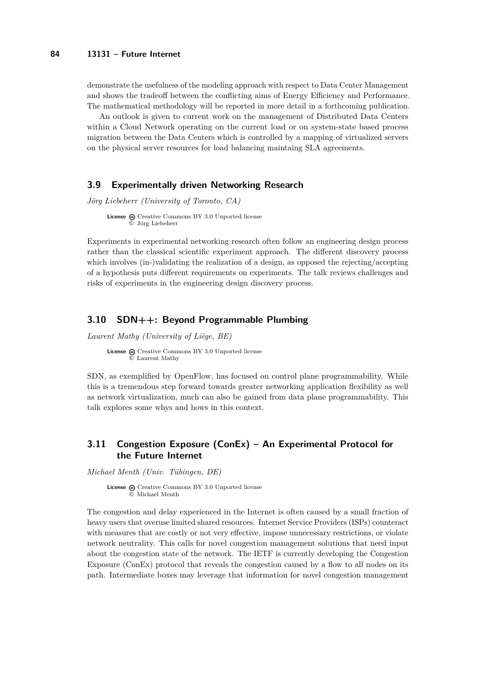demonstrate the usefulness of the modeling approach with respect to Data Center Management and shows the tradeoff between the conflicting aims of Energy Efficiency and Performance. The mathematical methodology will be reported in more detail in a forthcoming publication.

An outlook is given to current work on the management of Distributed Data Centers within a Cloud Network operating on the current load or on system-state based process migration between the Data Centers which is controlled by a mapping of virtualized servers on the physical server resources for load balancing maintaing SLA agreements.

## <span id="page-9-0"></span>**3.9 Experimentally driven Networking Research**

*Jörg Liebeherr (University of Toronto, CA)*

**License** @ [Creative Commons BY 3.0 Unported](http://creativecommons.org/licenses/by/3.0/) license © [Jörg Liebeherr](#page-9-0)

Experiments in experimental networking research often follow an engineering design process rather than the classical scientific experiment approach. The different discovery process which involves (in-)validating the realization of a design, as opposed the rejecting/accepting of a hypothesis puts different requirements on experiments. The talk reviews challenges and risks of experiments in the engineering design discovery process.

### <span id="page-9-1"></span>**3.10 SDN++: Beyond Programmable Plumbing**

*Laurent Mathy (University of Liège, BE)*

License  $\textcircled{c}$  [Creative Commons BY 3.0 Unported](http://creativecommons.org/licenses/by/3.0/) license © [Laurent Mathy](#page-9-1)

SDN, as exemplified by OpenFlow, has focused on control plane programmability. While this is a tremendous step forward towards greater networking application flexibility as well as network virtualization, much can also be gained from data plane programmability. This talk explores some whys and hows in this context.

# <span id="page-9-2"></span>**3.11 Congestion Exposure (ConEx) – An Experimental Protocol for the Future Internet**

*Michael Menth (Univ. Tübingen, DE)*

License  $\odot$  [Creative Commons BY 3.0 Unported](http://creativecommons.org/licenses/by/3.0/) license © [Michael Menth](#page-9-2)

The congestion and delay experienced in the Internet is often caused by a small fraction of heavy users that overuse limited shared resources. Internet Service Providers (ISPs) counteract with measures that are costly or not very effective, impose unnecessary restrictions, or violate network neutrality. This calls for novel congestion management solutions that need input about the congestion state of the network. The IETF is currently developing the Congestion Exposure (ConEx) protocol that reveals the congestion caused by a flow to all nodes on its path. Intermediate boxes may leverage that information for novel congestion management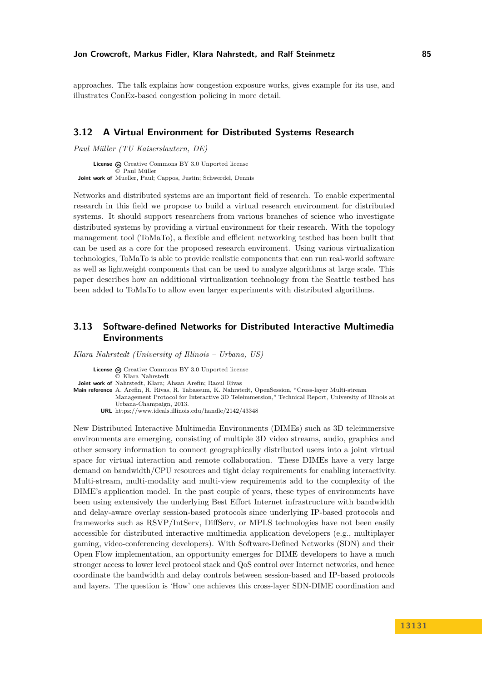approaches. The talk explains how congestion exposure works, gives example for its use, and illustrates ConEx-based congestion policing in more detail.

### <span id="page-10-0"></span>**3.12 A Virtual Environment for Distributed Systems Research**

*Paul Müller (TU Kaiserslautern, DE)*

License  $\bigcirc$  [Creative Commons BY 3.0 Unported](http://creativecommons.org/licenses/by/3.0/) license © [Paul Müller](#page-10-0) **Joint work of** Mueller, Paul; Cappos, Justin; Schwerdel, Dennis

Networks and distributed systems are an important field of research. To enable experimental research in this field we propose to build a virtual research environment for distributed systems. It should support researchers from various branches of science who investigate distributed systems by providing a virtual environment for their research. With the topology management tool (ToMaTo), a flexible and efficient networking testbed has been built that can be used as a core for the proposed research enviroment. Using various virtualization technologies, ToMaTo is able to provide realistic components that can run real-world software as well as lightweight components that can be used to analyze algorithms at large scale. This paper describes how an additional virtualization technology from the Seattle testbed has been added to ToMaTo to allow even larger experiments with distributed algorithms.

## <span id="page-10-1"></span>**3.13 Software-defined Networks for Distributed Interactive Multimedia Environments**

*Klara Nahrstedt (University of Illinois – Urbana, US)*

**License**  $\textcircled{e}$  [Creative Commons BY 3.0 Unported](http://creativecommons.org/licenses/by/3.0/) license © [Klara Nahrstedt](#page-10-1) **Joint work of** Nahrstedt, Klara; Ahsan Arefin; Raoul Rivas **Main reference** [A. Arefin, R. Rivas, R. Tabassum, K. Nahrstedt, OpenSession, "Cross-layer Multi-stream](https://www.ideals.illinois.edu/handle/2142/43348) [Management Protocol for Interactive 3D Teleimmersion," Technical Report, University of Illinois at](https://www.ideals.illinois.edu/handle/2142/43348) [Urbana-Champaign, 2013.](https://www.ideals.illinois.edu/handle/2142/43348) **URL** <https://www.ideals.illinois.edu/handle/2142/43348>

New Distributed Interactive Multimedia Environments (DIMEs) such as 3D teleimmersive environments are emerging, consisting of multiple 3D video streams, audio, graphics and other sensory information to connect geographically distributed users into a joint virtual space for virtual interaction and remote collaboration. These DIMEs have a very large demand on bandwidth/CPU resources and tight delay requirements for enabling interactivity. Multi-stream, multi-modality and multi-view requirements add to the complexity of the DIME's application model. In the past couple of years, these types of environments have been using extensively the underlying Best Effort Internet infrastructure with bandwidth and delay-aware overlay session-based protocols since underlying IP-based protocols and frameworks such as RSVP/IntServ, DiffServ, or MPLS technologies have not been easily accessible for distributed interactive multimedia application developers (e.g., multiplayer gaming, video-conferencing developers). With Software-Defined Networks (SDN) and their Open Flow implementation, an opportunity emerges for DIME developers to have a much stronger access to lower level protocol stack and QoS control over Internet networks, and hence coordinate the bandwidth and delay controls between session-based and IP-based protocols and layers. The question is 'How' one achieves this cross-layer SDN-DIME coordination and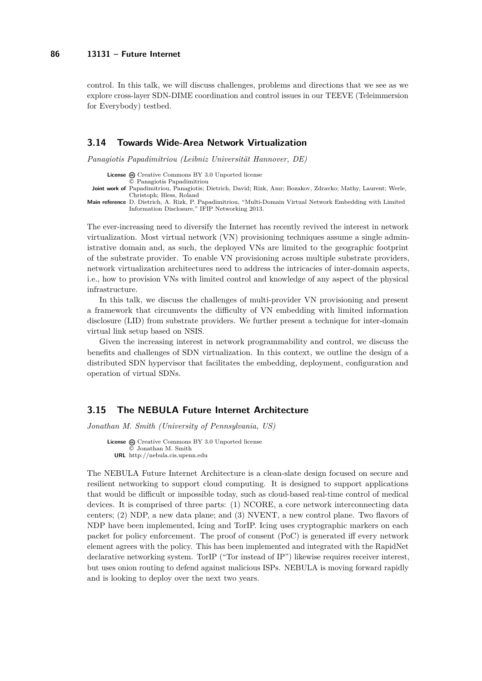control. In this talk, we will discuss challenges, problems and directions that we see as we explore cross-layer SDN-DIME coordination and control issues in our TEEVE (Teleimmersion for Everybody) testbed.

#### <span id="page-11-0"></span>**3.14 Towards Wide-Area Network Virtualization**

*Panagiotis Papadimitriou (Leibniz Universität Hannover, DE)*

License  $\textcircled{c}$  [Creative Commons BY 3.0 Unported](http://creativecommons.org/licenses/by/3.0/) license

© [Panagiotis Papadimitriou](#page-11-0)

**Joint work of** Papadimitriou, Panagiotis; Dietrich, David; Rizk, Amr; Bozakov, Zdravko; Mathy, Laurent; Werle, Christoph; Bless, Roland

**Main reference** [D. Dietrich, A. Rizk, P. Papadimitriou, "Multi-Domain Virtual Network Embedding with Limited](D. Dietrich, A. Rizk, P. Papadimitriou, ``Multi-Domain Virtual Network Embedding with Limited Information Disclosure,) [Information Disclosure," IFIP Networking 2013.](D. Dietrich, A. Rizk, P. Papadimitriou, ``Multi-Domain Virtual Network Embedding with Limited Information Disclosure,)

The ever-increasing need to diversify the Internet has recently revived the interest in network virtualization. Most virtual network (VN) provisioning techniques assume a single administrative domain and, as such, the deployed VNs are limited to the geographic footprint of the substrate provider. To enable VN provisioning across multiple substrate providers, network virtualization architectures need to address the intricacies of inter-domain aspects, i.e., how to provision VNs with limited control and knowledge of any aspect of the physical infrastructure.

In this talk, we discuss the challenges of multi-provider VN provisioning and present a framework that circumvents the difficulty of VN embedding with limited information disclosure (LID) from substrate providers. We further present a technique for inter-domain virtual link setup based on NSIS.

Given the increasing interest in network programmability and control, we discuss the benefits and challenges of SDN virtualization. In this context, we outline the design of a distributed SDN hypervisor that facilitates the embedding, deployment, configuration and operation of virtual SDNs.

### <span id="page-11-1"></span>**3.15 The NEBULA Future Internet Architecture**

*Jonathan M. Smith (University of Pennsylvania, US)*

License  $\bigcirc$  [Creative Commons BY 3.0 Unported](http://creativecommons.org/licenses/by/3.0/) license © [Jonathan M. Smith](#page-11-1) **URL** <http://nebula.cis.upenn.edu>

The NEBULA Future Internet Architecture is a clean-slate design focused on secure and resilient networking to support cloud computing. It is designed to support applications that would be difficult or impossible today, such as cloud-based real-time control of medical devices. It is comprised of three parts: (1) NCORE, a core network interconnecting data centers; (2) NDP, a new data plane; and (3) NVENT, a new control plane. Two flavors of NDP have been implemented, Icing and TorIP. Icing uses cryptographic markers on each packet for policy enforcement. The proof of consent (PoC) is generated iff every network element agrees with the policy. This has been implemented and integrated with the RapidNet declarative networking system. TorIP ("Tor instead of IP") likewise requires receiver interest, but uses onion routing to defend against malicious ISPs. NEBULA is moving forward rapidly and is looking to deploy over the next two years.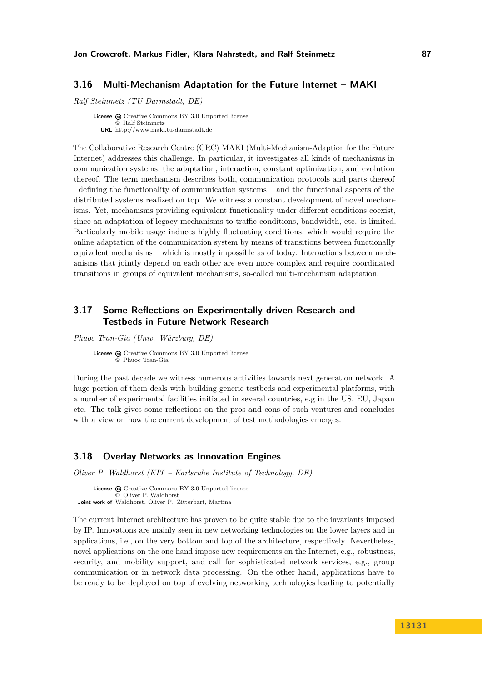## <span id="page-12-0"></span>**3.16 Multi-Mechanism Adaptation for the Future Internet – MAKI**

*Ralf Steinmetz (TU Darmstadt, DE)*

**License**  $\bigcirc$  [Creative Commons BY 3.0 Unported](http://creativecommons.org/licenses/by/3.0/) license  $\sum_{n=1}^{\infty}$  [Ralf Steinmetz](#page-12-0) **URL** <http://www.maki.tu-darmstadt.de>

The Collaborative Research Centre (CRC) MAKI (Multi-Mechanism-Adaption for the Future Internet) addresses this challenge. In particular, it investigates all kinds of mechanisms in communication systems, the adaptation, interaction, constant optimization, and evolution thereof. The term mechanism describes both, communication protocols and parts thereof – defining the functionality of communication systems – and the functional aspects of the distributed systems realized on top. We witness a constant development of novel mechanisms. Yet, mechanisms providing equivalent functionality under different conditions coexist, since an adaptation of legacy mechanisms to traffic conditions, bandwidth, etc. is limited. Particularly mobile usage induces highly fluctuating conditions, which would require the online adaptation of the communication system by means of transitions between functionally equivalent mechanisms – which is mostly impossible as of today. Interactions between mechanisms that jointly depend on each other are even more complex and require coordinated transitions in groups of equivalent mechanisms, so-called multi-mechanism adaptation.

# <span id="page-12-1"></span>**3.17 Some Reflections on Experimentally driven Research and Testbeds in Future Network Research**

*Phuoc Tran-Gia (Univ. Würzburg, DE)*

License  $\bigcirc$  [Creative Commons BY 3.0 Unported](http://creativecommons.org/licenses/by/3.0/) license © [Phuoc Tran-Gia](#page-12-1)

During the past decade we witness numerous activities towards next generation network. A huge portion of them deals with building generic testbeds and experimental platforms, with a number of experimental facilities initiated in several countries, e.g in the US, EU, Japan etc. The talk gives some reflections on the pros and cons of such ventures and concludes with a view on how the current development of test methodologies emerges.

## <span id="page-12-2"></span>**3.18 Overlay Networks as Innovation Engines**

*Oliver P. Waldhorst (KIT – Karlsruhe Institute of Technology, DE)*

License  $\textcircled{c}$  [Creative Commons BY 3.0 Unported](http://creativecommons.org/licenses/by/3.0/) license © [Oliver P. Waldhorst](#page-12-2) **Joint work of** Waldhorst, Oliver P.; Zitterbart, Martina

The current Internet architecture has proven to be quite stable due to the invariants imposed by IP. Innovations are mainly seen in new networking technologies on the lower layers and in applications, i.e., on the very bottom and top of the architecture, respectively. Nevertheless, novel applications on the one hand impose new requirements on the Internet, e.g., robustness, security, and mobility support, and call for sophisticated network services, e.g., group communication or in network data processing. On the other hand, applications have to be ready to be deployed on top of evolving networking technologies leading to potentially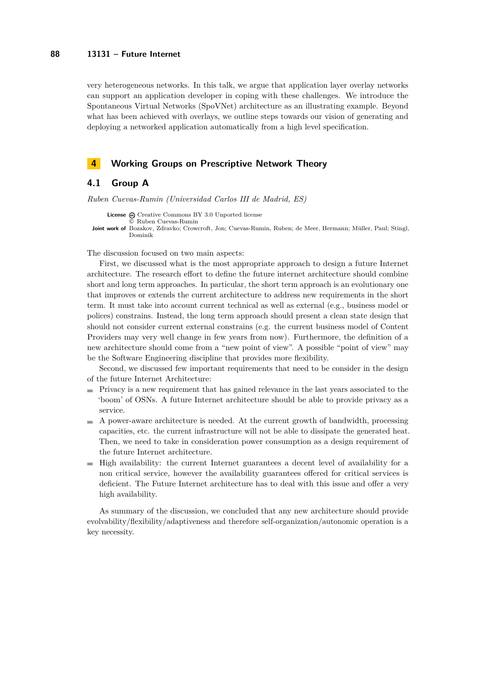very heterogeneous networks. In this talk, we argue that application layer overlay networks can support an application developer in coping with these challenges. We introduce the Spontaneous Virtual Networks (SpoVNet) architecture as an illustrating example. Beyond what has been achieved with overlays, we outline steps towards our vision of generating and deploying a networked application automatically from a high level specification.

## <span id="page-13-0"></span>**4 Working Groups on Prescriptive Network Theory**

## <span id="page-13-1"></span>**4.1 Group A**

*Ruben Cuevas-Rumin (Universidad Carlos III de Madrid, ES)*

License  $\bigcirc$  [Creative Commons BY 3.0 Unported](http://creativecommons.org/licenses/by/3.0/) license © [Ruben Cuevas-Rumin](#page-13-1)

**Joint work of** Bozakov, Zdravko; Crowcroft, Jon; Cuevas-Rumin, Ruben; de Meer, Hermann; Müller, Paul; Stingl, Dominik

The discussion focused on two main aspects:

First, we discussed what is the most appropriate approach to design a future Internet architecture. The research effort to define the future internet architecture should combine short and long term approaches. In particular, the short term approach is an evolutionary one that improves or extends the current architecture to address new requirements in the short term. It must take into account current technical as well as external (e.g., business model or polices) constrains. Instead, the long term approach should present a clean state design that should not consider current external constrains (e.g. the current business model of Content Providers may very well change in few years from now). Furthermore, the definition of a new architecture should come from a "new point of view". A possible "point of view" may be the Software Engineering discipline that provides more flexibility.

Second, we discussed few important requirements that need to be consider in the design of the future Internet Architecture:

- Privacy is a new requirement that has gained relevance in the last years associated to the 'boom' of OSNs. A future Internet architecture should be able to provide privacy as a service.
- $\blacksquare$  A power-aware architecture is needed. At the current growth of bandwidth, processing capacities, etc. the current infrastructure will not be able to dissipate the generated heat. Then, we need to take in consideration power consumption as a design requirement of the future Internet architecture.
- $\blacksquare$  High availability: the current Internet guarantees a decent level of availability for a non critical service, however the availability guarantees offered for critical services is deficient. The Future Internet architecture has to deal with this issue and offer a very high availability.

As summary of the discussion, we concluded that any new architecture should provide evolvability/flexibility/adaptiveness and therefore self-organization/autonomic operation is a key necessity.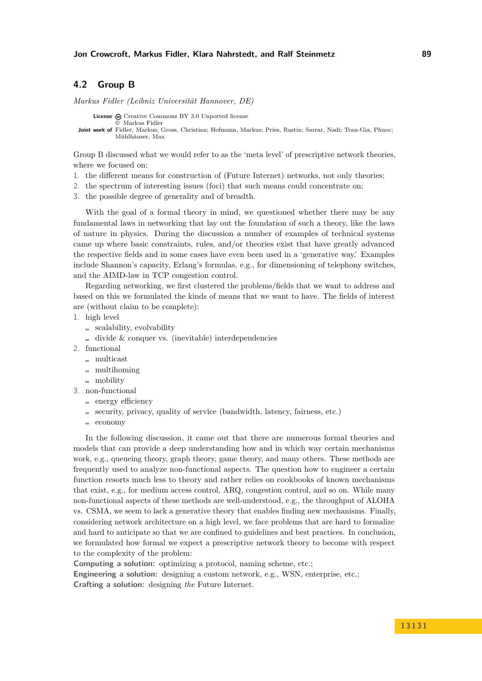## <span id="page-14-0"></span>**4.2 Group B**

*Markus Fidler (Leibniz Universität Hannover, DE)*

**License**  $\odot$  [Creative Commons BY 3.0 Unported](http://creativecommons.org/licenses/by/3.0/) license © [Markus Fidler](#page-14-0)

Group B discussed what we would refer to as the 'meta level' of prescriptive network theories, where we focused on:

- 1. the different means for construction of (Future Internet) networks, not only theories;
- 2. the spectrum of interesting issues (foci) that such means could concentrate on;
- 3. the possible degree of generality and of breadth.

With the goal of a formal theory in mind, we questioned whether there may be any fundamental laws in networking that lay out the foundation of such a theory, like the laws of nature in physics. During the discussion a number of examples of technical systems came up where basic constraints, rules, and/or theories exist that have greatly advanced the respective fields and in some cases have even been used in a 'generative way.' Examples include Shannon's capacity, Erlang's formulas, e.g., for dimensioning of telephony switches, and the AIMD-law in TCP congestion control.

Regarding networking, we first clustered the problems/fields that we want to address and based on this we formulated the kinds of means that we want to have. The fields of interest are (without claim to be complete):

- 1. high level
	- $=$  scalability, evolvability
	- $\equiv$  divide & conquer vs. (inevitable) interdependencies
- 2. functional
	- multicast
	- $=$  multihoming
	- mobility
- 3. non-functional
	- $=$  energy efficiency
	- $s$  security, privacy, quality of service (bandwidth, latency, fairness, etc.)
	- $e$  economy

In the following discussion, it came out that there are numerous formal theories and models that can provide a deep understanding how and in which way certain mechanisms work, e.g., queueing theory, graph theory, game theory, and many others. These methods are frequently used to analyze non-functional aspects. The question how to engineer a certain function resorts much less to theory and rather relies on cookbooks of known mechanisms that exist, e.g., for medium access control, ARQ, congestion control, and so on. While many non-functional aspects of these methods are well-understood, e.g., the throughput of ALOHA vs. CSMA, we seem to lack a generative theory that enables finding new mechanisms. Finally, considering network architecture on a high level, we face problems that are hard to formalize and hard to anticipate so that we are confined to guidelines and best practices. In conclusion, we formulated how formal we expect a prescriptive network theory to become with respect to the complexity of the problem:

**Computing a solution:** optimizing a protocol, naming scheme, etc.;

**Engineering a solution:** designing a custom network, e.g., WSN, enterprise, etc.; **Crafting a solution:** designing *the* Future Internet.

**Joint work of** Fidler, Markus; Gross, Christian; Hofmann, Markus; Pries, Rastin; Sarrar, Nadi; Tran-Gia, Phuoc; Mühlhäuser, Max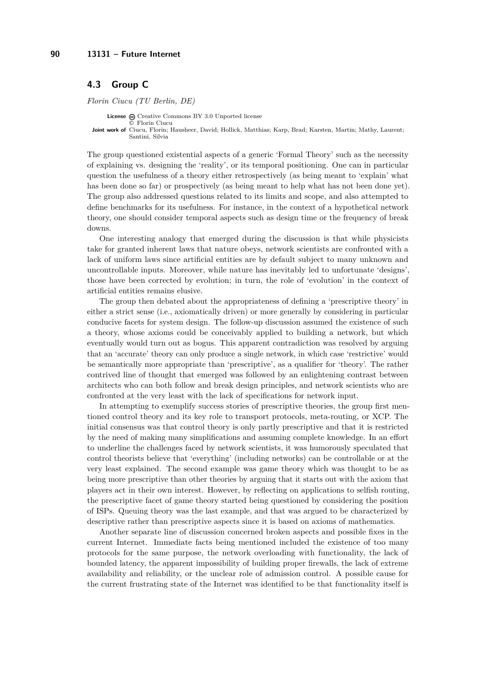## <span id="page-15-0"></span>**4.3 Group C**

*Florin Ciucu (TU Berlin, DE)*

**License**  $\odot$  [Creative Commons BY 3.0 Unported](http://creativecommons.org/licenses/by/3.0/) license © [Florin Ciucu](#page-15-0) **Joint work of** Ciucu, Florin; Hausheer, David; Hollick, Matthias; Karp, Brad; Karsten, Martin; Mathy, Laurent; Santini, Silvia

The group questioned existential aspects of a generic 'Formal Theory' such as the necessity of explaining vs. designing the 'reality', or its temporal positioning. One can in particular question the usefulness of a theory either retrospectively (as being meant to 'explain' what has been done so far) or prospectively (as being meant to help what has not been done yet). The group also addressed questions related to its limits and scope, and also attempted to define benchmarks for its usefulness. For instance, in the context of a hypothetical network theory, one should consider temporal aspects such as design time or the frequency of break downs.

One interesting analogy that emerged during the discussion is that while physicists take for granted inherent laws that nature obeys, network scientists are confronted with a lack of uniform laws since artificial entities are by default subject to many unknown and uncontrollable inputs. Moreover, while nature has inevitably led to unfortunate 'designs', those have been corrected by evolution; in turn, the role of 'evolution' in the context of artificial entities remains elusive.

The group then debated about the appropriateness of defining a 'prescriptive theory' in either a strict sense (i.e., axiomatically driven) or more generally by considering in particular conducive facets for system design. The follow-up discussion assumed the existence of such a theory, whose axioms could be conceivably applied to building a network, but which eventually would turn out as bogus. This apparent contradiction was resolved by arguing that an 'accurate' theory can only produce a single network, in which case 'restrictive' would be semantically more appropriate than 'prescriptive', as a qualifier for 'theory'. The rather contrived line of thought that emerged was followed by an enlightening contrast between architects who can both follow and break design principles, and network scientists who are confronted at the very least with the lack of specifications for network input.

In attempting to exemplify success stories of prescriptive theories, the group first mentioned control theory and its key role to transport protocols, meta-routing, or XCP. The initial consensus was that control theory is only partly prescriptive and that it is restricted by the need of making many simplifications and assuming complete knowledge. In an effort to underline the challenges faced by network scientists, it was humorously speculated that control theorists believe that 'everything' (including networks) can be controllable or at the very least explained. The second example was game theory which was thought to be as being more prescriptive than other theories by arguing that it starts out with the axiom that players act in their own interest. However, by reflecting on applications to selfish routing, the prescriptive facet of game theory started being questioned by considering the position of ISPs. Queuing theory was the last example, and that was argued to be characterized by descriptive rather than prescriptive aspects since it is based on axioms of mathematics.

Another separate line of discussion concerned broken aspects and possible fixes in the current Internet. Immediate facts being mentioned included the existence of too many protocols for the same purpose, the network overloading with functionality, the lack of bounded latency, the apparent impossibility of building proper firewalls, the lack of extreme availability and reliability, or the unclear role of admission control. A possible cause for the current frustrating state of the Internet was identified to be that functionality itself is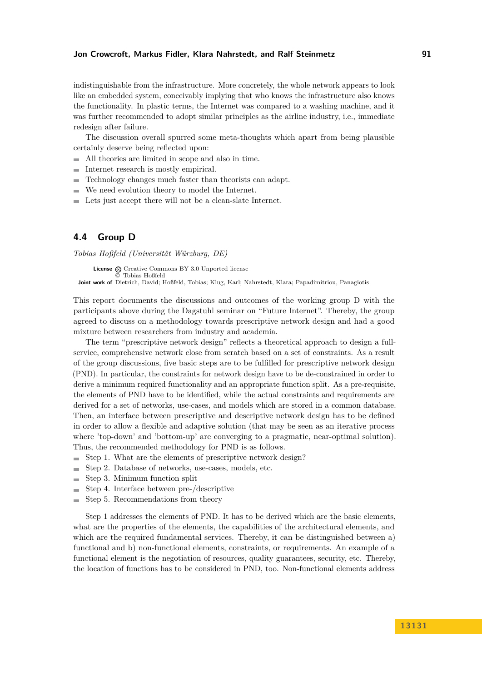indistinguishable from the infrastructure. More concretely, the whole network appears to look like an embedded system, conceivably implying that who knows the infrastructure also knows the functionality. In plastic terms, the Internet was compared to a washing machine, and it was further recommended to adopt similar principles as the airline industry, i.e., immediate redesign after failure.

The discussion overall spurred some meta-thoughts which apart from being plausible certainly deserve being reflected upon:

- All theories are limited in scope and also in time.  $\equiv$
- Internet research is mostly empirical.  $\sim$
- Technology changes much faster than theorists can adapt.  $\blacksquare$
- We need evolution theory to model the Internet.  $\mathcal{L}_{\mathcal{A}}$
- Lets just accept there will not be a clean-slate Internet.

## <span id="page-16-0"></span>**4.4 Group D**

*Tobias Hoßfeld (Universität Würzburg, DE)*

License  $\textcircled{\tiny{\textbf{G}}}$  [Creative Commons BY 3.0 Unported](http://creativecommons.org/licenses/by/3.0/) license © [Tobias Hoßfeld](#page-16-0) **Joint work of** Dietrich, David; Hoßfeld, Tobias; Klug, Karl; Nahrstedt, Klara; Papadimitriou, Panagiotis

This report documents the discussions and outcomes of the working group D with the participants above during the Dagstuhl seminar on "Future Internet". Thereby, the group agreed to discuss on a methodology towards prescriptive network design and had a good mixture between researchers from industry and academia.

The term "prescriptive network design" reflects a theoretical approach to design a fullservice, comprehensive network close from scratch based on a set of constraints. As a result of the group discussions, five basic steps are to be fulfilled for prescriptive network design (PND). In particular, the constraints for network design have to be de-constrained in order to derive a minimum required functionality and an appropriate function split. As a pre-requisite, the elements of PND have to be identified, while the actual constraints and requirements are derived for a set of networks, use-cases, and models which are stored in a common database. Then, an interface between prescriptive and descriptive network design has to be defined in order to allow a flexible and adaptive solution (that may be seen as an iterative process where 'top-down' and 'bottom-up' are converging to a pragmatic, near-optimal solution). Thus, the recommended methodology for PND is as follows.

- Step 1. What are the elements of prescriptive network design? m.
- $\blacksquare$  Step 2. Database of networks, use-cases, models, etc.
- Step 3. Minimum function split  $\sim$
- $\equiv$  Step 4. Interface between pre-/descriptive
- $\blacksquare$  Step 5. Recommendations from theory

Step 1 addresses the elements of PND. It has to be derived which are the basic elements, what are the properties of the elements, the capabilities of the architectural elements, and which are the required fundamental services. Thereby, it can be distinguished between a) functional and b) non-functional elements, constraints, or requirements. An example of a functional element is the negotiation of resources, quality guarantees, security, etc. Thereby, the location of functions has to be considered in PND, too. Non-functional elements address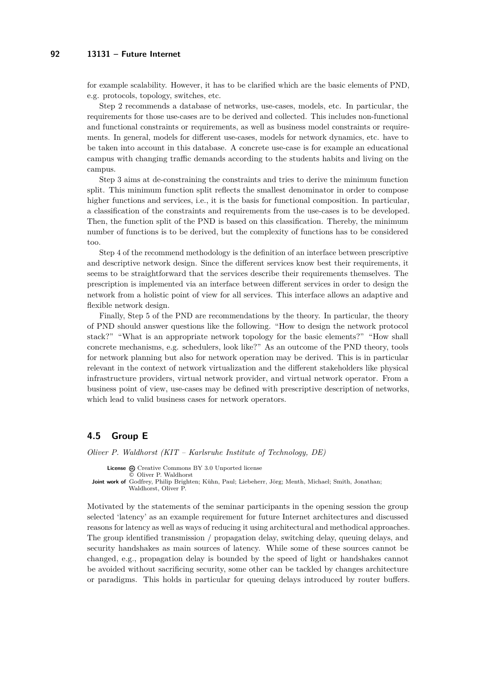for example scalability. However, it has to be clarified which are the basic elements of PND, e.g. protocols, topology, switches, etc.

Step 2 recommends a database of networks, use-cases, models, etc. In particular, the requirements for those use-cases are to be derived and collected. This includes non-functional and functional constraints or requirements, as well as business model constraints or requirements. In general, models for different use-cases, models for network dynamics, etc. have to be taken into account in this database. A concrete use-case is for example an educational campus with changing traffic demands according to the students habits and living on the campus.

Step 3 aims at de-constraining the constraints and tries to derive the minimum function split. This minimum function split reflects the smallest denominator in order to compose higher functions and services, i.e., it is the basis for functional composition. In particular, a classification of the constraints and requirements from the use-cases is to be developed. Then, the function split of the PND is based on this classification. Thereby, the minimum number of functions is to be derived, but the complexity of functions has to be considered too.

Step 4 of the recommend methodology is the definition of an interface between prescriptive and descriptive network design. Since the different services know best their requirements, it seems to be straightforward that the services describe their requirements themselves. The prescription is implemented via an interface between different services in order to design the network from a holistic point of view for all services. This interface allows an adaptive and flexible network design.

Finally, Step 5 of the PND are recommendations by the theory. In particular, the theory of PND should answer questions like the following. "How to design the network protocol stack?" "What is an appropriate network topology for the basic elements?" "How shall concrete mechanisms, e.g. schedulers, look like?" As an outcome of the PND theory, tools for network planning but also for network operation may be derived. This is in particular relevant in the context of network virtualization and the different stakeholders like physical infrastructure providers, virtual network provider, and virtual network operator. From a business point of view, use-cases may be defined with prescriptive description of networks, which lead to valid business cases for network operators.

## <span id="page-17-0"></span>**4.5 Group E**

*Oliver P. Waldhorst (KIT – Karlsruhe Institute of Technology, DE)*

License  $\textcircled{c}$  [Creative Commons BY 3.0 Unported](http://creativecommons.org/licenses/by/3.0/) license © [Oliver P. Waldhorst](#page-17-0) **Joint work of** Godfrey, Philip Brighten; Kühn, Paul; Liebeherr, Jörg; Menth, Michael; Smith, Jonathan; Waldhorst, Oliver P.

Motivated by the statements of the seminar participants in the opening session the group selected 'latency' as an example requirement for future Internet architectures and discussed reasons for latency as well as ways of reducing it using architectural and methodical approaches. The group identified transmission / propagation delay, switching delay, queuing delays, and security handshakes as main sources of latency. While some of these sources cannot be changed, e.g., propagation delay is bounded by the speed of light or handshakes cannot be avoided without sacrificing security, some other can be tackled by changes architecture or paradigms. This holds in particular for queuing delays introduced by router buffers.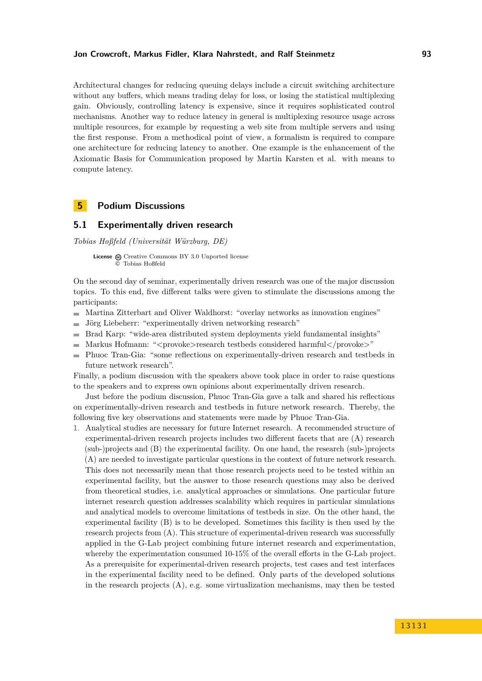Architectural changes for reducing queuing delays include a circuit switching architecture without any buffers, which means trading delay for loss, or losing the statistical multiplexing gain. Obviously, controlling latency is expensive, since it requires sophisticated control mechanisms. Another way to reduce latency in general is multiplexing resource usage across multiple resources, for example by requesting a web site from multiple servers and using the first response. From a methodical point of view, a formalism is required to compare one architecture for reducing latency to another. One example is the enhancement of the Axiomatic Basis for Communication proposed by Martin Karsten et al. with means to compute latency.

## <span id="page-18-0"></span>**5 Podium Discussions**

## <span id="page-18-1"></span>**5.1 Experimentally driven research**

*Tobias Hoßfeld (Universität Würzburg, DE)*

License  $\textcircled{c}$  [Creative Commons BY 3.0 Unported](http://creativecommons.org/licenses/by/3.0/) license © [Tobias Hoßfeld](#page-18-1)

On the second day of seminar, experimentally driven research was one of the major discussion topics. To this end, five different talks were given to stimulate the discussions among the participants:

- Martina Zitterbart and Oliver Waldhorst: "overlay networks as innovation engines"  $\sim$
- Jörg Liebeherr: "experimentally driven networking research"  $\blacksquare$
- Brad Karp: "wide-area distributed system deployments yield fundamental insights"  $\sim$
- Markus Hofmann: "*<*provoke*>*research testbeds considered harmful*<*/provoke*>*" ÷
- Phuoc Tran-Gia: "some reflections on experimentally-driven research and testbeds in  $\overline{\phantom{a}}$ future network research".

Finally, a podium discussion with the speakers above took place in order to raise questions to the speakers and to express own opinions about experimentally driven research.

Just before the podium discussion, Phuoc Tran-Gia gave a talk and shared his reflections on experimentally-driven research and testbeds in future network research. Thereby, the following five key observations and statements were made by Phuoc Tran-Gia.

1. Analytical studies are necessary for future Internet research. A recommended structure of experimental-driven research projects includes two different facets that are (A) research (sub-)projects and (B) the experimental facility. On one hand, the research (sub-)projects (A) are needed to investigate particular questions in the context of future network research. This does not necessarily mean that those research projects need to be tested within an experimental facility, but the answer to those research questions may also be derived from theoretical studies, i.e. analytical approaches or simulations. One particular future internet research question addresses scalability which requires in particular simulations and analytical models to overcome limitations of testbeds in size. On the other hand, the experimental facility (B) is to be developed. Sometimes this facility is then used by the research projects from (A). This structure of experimental-driven research was successfully applied in the G-Lab project combining future internet research and experimentation, whereby the experimentation consumed  $10-15\%$  of the overall efforts in the G-Lab project. As a prerequisite for experimental-driven research projects, test cases and test interfaces in the experimental facility need to be defined. Only parts of the developed solutions in the research projects  $(A)$ , e.g. some virtualization mechanisms, may then be tested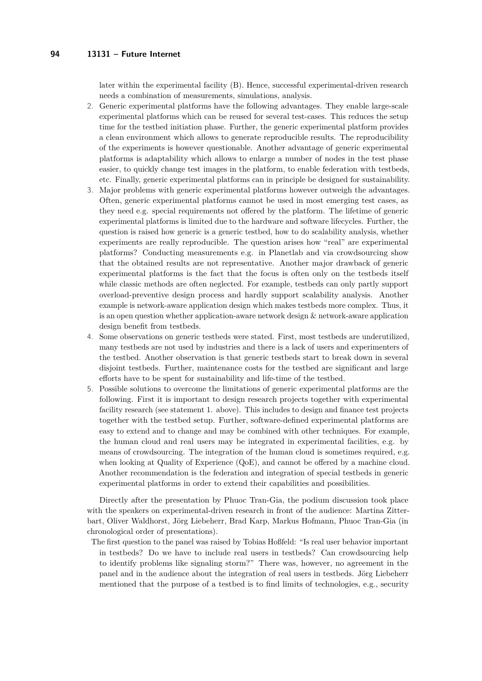later within the experimental facility (B). Hence, successful experimental-driven research needs a combination of measurements, simulations, analysis.

- 2. Generic experimental platforms have the following advantages. They enable large-scale experimental platforms which can be reused for several test-cases. This reduces the setup time for the testbed initiation phase. Further, the generic experimental platform provides a clean environment which allows to generate reproducible results. The reproducibility of the experiments is however questionable. Another advantage of generic experimental platforms is adaptability which allows to enlarge a number of nodes in the test phase easier, to quickly change test images in the platform, to enable federation with testbeds, etc. Finally, generic experimental platforms can in principle be designed for sustainability.
- 3. Major problems with generic experimental platforms however outweigh the advantages. Often, generic experimental platforms cannot be used in most emerging test cases, as they need e.g. special requirements not offered by the platform. The lifetime of generic experimental platforms is limited due to the hardware and software lifecycles. Further, the question is raised how generic is a generic testbed, how to do scalability analysis, whether experiments are really reproducible. The question arises how "real" are experimental platforms? Conducting measurements e.g. in Planetlab and via crowdsourcing show that the obtained results are not representative. Another major drawback of generic experimental platforms is the fact that the focus is often only on the testbeds itself while classic methods are often neglected. For example, testbeds can only partly support overload-preventive design process and hardly support scalability analysis. Another example is network-aware application design which makes testbeds more complex. Thus, it is an open question whether application-aware network design & network-aware application design benefit from testbeds.
- 4. Some observations on generic testbeds were stated. First, most testbeds are underutilized, many testbeds are not used by industries and there is a lack of users and experimenters of the testbed. Another observation is that generic testbeds start to break down in several disjoint testbeds. Further, maintenance costs for the testbed are significant and large efforts have to be spent for sustainability and life-time of the testbed.
- 5. Possible solutions to overcome the limitations of generic experimental platforms are the following. First it is important to design research projects together with experimental facility research (see statement 1. above). This includes to design and finance test projects together with the testbed setup. Further, software-defined experimental platforms are easy to extend and to change and may be combined with other techniques. For example, the human cloud and real users may be integrated in experimental facilities, e.g. by means of crowdsourcing. The integration of the human cloud is sometimes required, e.g. when looking at Quality of Experience (QoE), and cannot be offered by a machine cloud. Another recommendation is the federation and integration of special testbeds in generic experimental platforms in order to extend their capabilities and possibilities.

Directly after the presentation by Phuoc Tran-Gia, the podium discussion took place with the speakers on experimental-driven research in front of the audience: Martina Zitterbart, Oliver Waldhorst, Jörg Liebeherr, Brad Karp, Markus Hofmann, Phuoc Tran-Gia (in chronological order of presentations).

The first question to the panel was raised by Tobias Hoßfeld: "Is real user behavior important in testbeds? Do we have to include real users in testbeds? Can crowdsourcing help to identify problems like signaling storm?" There was, however, no agreement in the panel and in the audience about the integration of real users in testbeds. Jörg Liebeherr mentioned that the purpose of a testbed is to find limits of technologies, e.g., security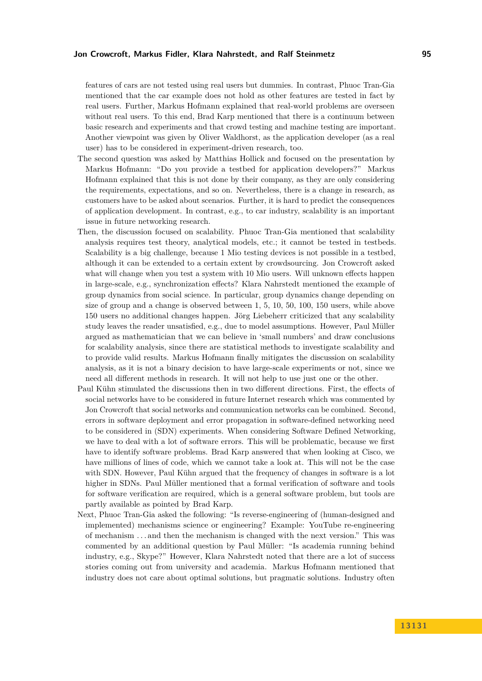features of cars are not tested using real users but dummies. In contrast, Phuoc Tran-Gia mentioned that the car example does not hold as other features are tested in fact by real users. Further, Markus Hofmann explained that real-world problems are overseen without real users. To this end, Brad Karp mentioned that there is a continuum between basic research and experiments and that crowd testing and machine testing are important. Another viewpoint was given by Oliver Waldhorst, as the application developer (as a real user) has to be considered in experiment-driven research, too.

- The second question was asked by Matthias Hollick and focused on the presentation by Markus Hofmann: "Do you provide a testbed for application developers?" Markus Hofmann explained that this is not done by their company, as they are only considering the requirements, expectations, and so on. Nevertheless, there is a change in research, as customers have to be asked about scenarios. Further, it is hard to predict the consequences of application development. In contrast, e.g., to car industry, scalability is an important issue in future networking research.
- Then, the discussion focused on scalability. Phuoc Tran-Gia mentioned that scalability analysis requires test theory, analytical models, etc.; it cannot be tested in testbeds. Scalability is a big challenge, because 1 Mio testing devices is not possible in a testbed, although it can be extended to a certain extent by crowdsourcing. Jon Crowcroft asked what will change when you test a system with 10 Mio users. Will unknown effects happen in large-scale, e.g., synchronization effects? Klara Nahrstedt mentioned the example of group dynamics from social science. In particular, group dynamics change depending on size of group and a change is observed between 1, 5, 10, 50, 100, 150 users, while above 150 users no additional changes happen. Jörg Liebeherr criticized that any scalability study leaves the reader unsatisfied, e.g., due to model assumptions. However, Paul Müller argued as mathematician that we can believe in 'small numbers' and draw conclusions for scalability analysis, since there are statistical methods to investigate scalability and to provide valid results. Markus Hofmann finally mitigates the discussion on scalability analysis, as it is not a binary decision to have large-scale experiments or not, since we need all different methods in research. It will not help to use just one or the other.
- Paul Kühn stimulated the discussions then in two different directions. First, the effects of social networks have to be considered in future Internet research which was commented by Jon Crowcroft that social networks and communication networks can be combined. Second, errors in software deployment and error propagation in software-defined networking need to be considered in (SDN) experiments. When considering Software Defined Networking, we have to deal with a lot of software errors. This will be problematic, because we first have to identify software problems. Brad Karp answered that when looking at Cisco, we have millions of lines of code, which we cannot take a look at. This will not be the case with SDN. However, Paul Kühn argued that the frequency of changes in software is a lot higher in SDNs. Paul Müller mentioned that a formal verification of software and tools for software verification are required, which is a general software problem, but tools are partly available as pointed by Brad Karp.
- Next, Phuoc Tran-Gia asked the following: "Is reverse-engineering of (human-designed and implemented) mechanisms science or engineering? Example: YouTube re-engineering of mechanism . . . and then the mechanism is changed with the next version." This was commented by an additional question by Paul Müller: "Is academia running behind industry, e.g., Skype?" However, Klara Nahrstedt noted that there are a lot of success stories coming out from university and academia. Markus Hofmann mentioned that industry does not care about optimal solutions, but pragmatic solutions. Industry often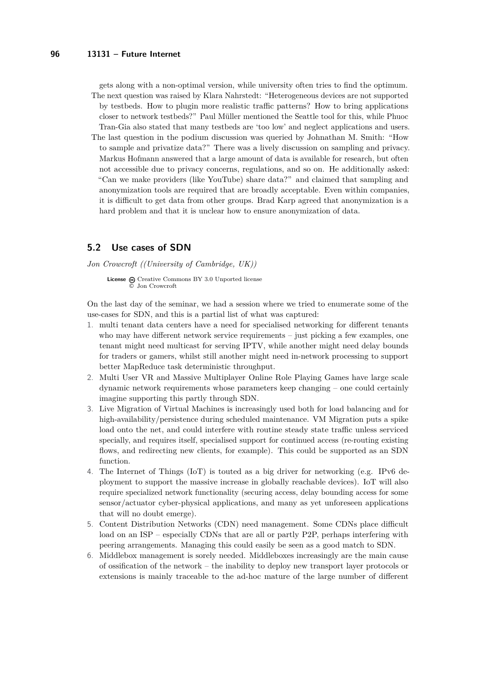gets along with a non-optimal version, while university often tries to find the optimum. The next question was raised by Klara Nahrstedt: "Heterogeneous devices are not supported by testbeds. How to plugin more realistic traffic patterns? How to bring applications closer to network testbeds?" Paul Müller mentioned the Seattle tool for this, while Phuoc Tran-Gia also stated that many testbeds are 'too low' and neglect applications and users.

The last question in the podium discussion was queried by Johnathan M. Smith: "How to sample and privatize data?" There was a lively discussion on sampling and privacy. Markus Hofmann answered that a large amount of data is available for research, but often not accessible due to privacy concerns, regulations, and so on. He additionally asked: "Can we make providers (like YouTube) share data?" and claimed that sampling and anonymization tools are required that are broadly acceptable. Even within companies, it is difficult to get data from other groups. Brad Karp agreed that anonymization is a hard problem and that it is unclear how to ensure anonymization of data.

### <span id="page-21-0"></span>**5.2 Use cases of SDN**

*Jon Crowcroft ((University of Cambridge, UK))*

License  $\textcircled{c}$  [Creative Commons BY 3.0 Unported](http://creativecommons.org/licenses/by/3.0/) license © [Jon Crowcroft](#page-21-0)

On the last day of the seminar, we had a session where we tried to enumerate some of the use-cases for SDN, and this is a partial list of what was captured:

- 1. multi tenant data centers have a need for specialised networking for different tenants who may have different network service requirements – just picking a few examples, one tenant might need multicast for serving IPTV, while another might need delay bounds for traders or gamers, whilst still another might need in-network processing to support better MapReduce task deterministic throughput.
- 2. Multi User VR and Massive Multiplayer Online Role Playing Games have large scale dynamic network requirements whose parameters keep changing – one could certainly imagine supporting this partly through SDN.
- 3. Live Migration of Virtual Machines is increasingly used both for load balancing and for high-availability/persistence during scheduled maintenance. VM Migration puts a spike load onto the net, and could interfere with routine steady state traffic unless serviced specially, and requires itself, specialised support for continued access (re-routing existing flows, and redirecting new clients, for example). This could be supported as an SDN function.
- 4. The Internet of Things (IoT) is touted as a big driver for networking (e.g. IPv6 deployment to support the massive increase in globally reachable devices). IoT will also require specialized network functionality (securing access, delay bounding access for some sensor/actuator cyber-physical applications, and many as yet unforeseen applications that will no doubt emerge).
- 5. Content Distribution Networks (CDN) need management. Some CDNs place difficult load on an ISP – especially CDNs that are all or partly P2P, perhaps interfering with peering arrangements. Managing this could easily be seen as a good match to SDN.
- 6. Middlebox management is sorely needed. Middleboxes increasingly are the main cause of ossification of the network – the inability to deploy new transport layer protocols or extensions is mainly traceable to the ad-hoc mature of the large number of different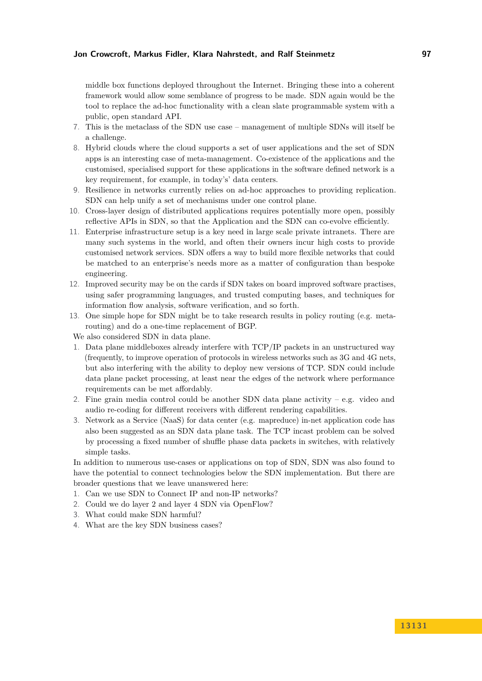middle box functions deployed throughout the Internet. Bringing these into a coherent framework would allow some semblance of progress to be made. SDN again would be the tool to replace the ad-hoc functionality with a clean slate programmable system with a public, open standard API.

- 7. This is the metaclass of the SDN use case management of multiple SDNs will itself be a challenge.
- 8. Hybrid clouds where the cloud supports a set of user applications and the set of SDN apps is an interesting case of meta-management. Co-existence of the applications and the customised, specialised support for these applications in the software defined network is a key requirement, for example, in today's' data centers.
- 9. Resilience in networks currently relies on ad-hoc approaches to providing replication. SDN can help unify a set of mechanisms under one control plane.
- 10. Cross-layer design of distributed applications requires potentially more open, possibly reflective APIs in SDN, so that the Application and the SDN can co-evolve efficiently.
- 11. Enterprise infrastructure setup is a key need in large scale private intranets. There are many such systems in the world, and often their owners incur high costs to provide customised network services. SDN offers a way to build more flexible networks that could be matched to an enterprise's needs more as a matter of configuration than bespoke engineering.
- 12. Improved security may be on the cards if SDN takes on board improved software practises, using safer programming languages, and trusted computing bases, and techniques for information flow analysis, software verification, and so forth.
- 13. One simple hope for SDN might be to take research results in policy routing (e.g. metarouting) and do a one-time replacement of BGP.

We also considered SDN in data plane.

- 1. Data plane middleboxes already interfere with TCP/IP packets in an unstructured way (frequently, to improve operation of protocols in wireless networks such as 3G and 4G nets, but also interfering with the ability to deploy new versions of TCP. SDN could include data plane packet processing, at least near the edges of the network where performance requirements can be met affordably.
- 2. Fine grain media control could be another SDN data plane activity  $-$  e.g. video and audio re-coding for different receivers with different rendering capabilities.
- 3. Network as a Service (NaaS) for data center (e.g. mapreduce) in-net application code has also been suggested as an SDN data plane task. The TCP incast problem can be solved by processing a fixed number of shuffle phase data packets in switches, with relatively simple tasks.

In addition to numerous use-cases or applications on top of SDN, SDN was also found to have the potential to connect technologies below the SDN implementation. But there are broader questions that we leave unanswered here:

- 1. Can we use SDN to Connect IP and non-IP networks?
- 2. Could we do layer 2 and layer 4 SDN via OpenFlow?
- 3. What could make SDN harmful?
- 4. What are the key SDN business cases?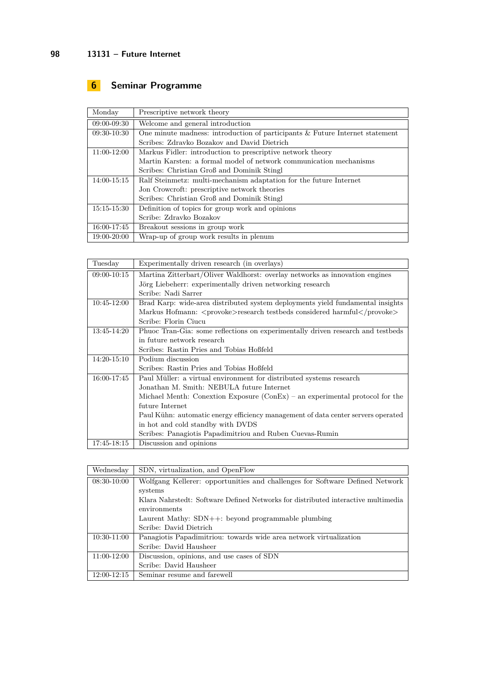# **98 13131 – Future Internet**

# <span id="page-23-0"></span>**6 Seminar Programme**

| Monday          | Prescriptive network theory                                                  |
|-----------------|------------------------------------------------------------------------------|
| $09:00 - 09:30$ | Welcome and general introduction                                             |
| $09:30-10:30$   | One minute madness: introduction of participants & Future Internet statement |
|                 | Scribes: Zdravko Bozakov and David Dietrich                                  |
| $11:00-12:00$   | Markus Fidler: introduction to prescriptive network theory                   |
|                 | Martin Karsten: a formal model of network communication mechanisms           |
|                 | Scribes: Christian Groß and Dominik Stingl                                   |
| 14:00-15:15     | Ralf Steinmetz: multi-mechanism adaptation for the future Internet           |
|                 | Jon Crowcroft: prescriptive network theories                                 |
|                 | Scribes: Christian Groß and Dominik Stingl                                   |
| $15:15-15:30$   | Definition of topics for group work and opinions                             |
|                 | Scribe: Zdravko Bozakov                                                      |
| 16:00-17:45     | Breakout sessions in group work                                              |
| 19:00-20:00     | Wrap-up of group work results in plenum                                      |

| Tuesday         | Experimentally driven research (in overlays)                                      |
|-----------------|-----------------------------------------------------------------------------------|
| $09:00 - 10:15$ | Martina Zitterbart/Oliver Waldhorst: overlay networks as innovation engines       |
|                 | Jörg Liebeherr: experimentally driven networking research                         |
|                 | Scribe: Nadi Sarrer                                                               |
| $10:45 - 12:00$ | Brad Karp: wide-area distributed system deployments yield fundamental insights    |
|                 | Markus Hofmann: <provoke>research testbeds considered harmful</provoke>           |
|                 | Scribe: Florin Ciucu                                                              |
| 13:45-14:20     | Phuoc Tran-Gia: some reflections on experimentally driven research and testbeds   |
|                 | in future network research                                                        |
|                 | Scribes: Rastin Pries and Tobias Hoßfeld                                          |
| $14:20-15:10$   | Podium discussion                                                                 |
|                 | Scribes: Rastin Pries and Tobias Hoßfeld                                          |
| 16:00-17:45     | Paul Müller: a virtual environment for distributed systems research               |
|                 | Jonathan M. Smith: NEBULA future Internet                                         |
|                 | Michael Menth: Conextion Exposure $(ConEx)$ – an experimental protocol for the    |
|                 | future Internet                                                                   |
|                 | Paul Kühn: automatic energy efficiency management of data center servers operated |
|                 | in hot and cold standby with DVDS                                                 |
|                 | Scribes: Panagiotis Papadimitriou and Ruben Cuevas-Rumin                          |
| 17:45-18:15     | Discussion and opinions                                                           |

| Wednesday     | SDN, virtualization, and OpenFlow                                                                 |
|---------------|---------------------------------------------------------------------------------------------------|
| $08:30-10:00$ | Wolfgang Kellerer: opportunities and challenges for Software Defined Network                      |
|               | systems                                                                                           |
|               | Klara Nahrstedt: Software Defined Networks for distributed interactive multimedia<br>environments |
|               | Laurent Mathy: $SDN++$ : beyond programmable plumbing                                             |
|               | Scribe: David Dietrich                                                                            |
| 10:30-11:00   | Panagiotis Papadimitriou: towards wide area network virtualization                                |
|               | Scribe: David Hausheer                                                                            |
| $11:00-12:00$ | Discussion, opinions, and use cases of SDN                                                        |
|               | Scribe: David Hausheer                                                                            |
| 12:00-12:15   | Seminar resume and farewell                                                                       |